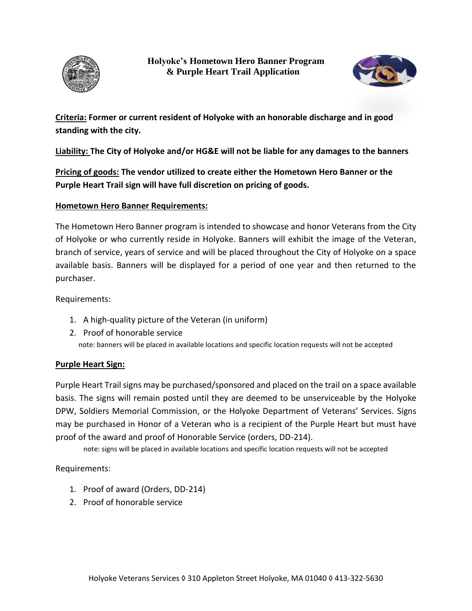



**Criteria: Former or current resident of Holyoke with an honorable discharge and in good standing with the city.** 

**Liability: The City of Holyoke and/or HG&E will not be liable for any damages to the banners**

**Pricing of goods: The vendor utilized to create either the Hometown Hero Banner or the Purple Heart Trail sign will have full discretion on pricing of goods.** 

## **Hometown Hero Banner Requirements:**

The Hometown Hero Banner program is intended to showcase and honor Veterans from the City of Holyoke or who currently reside in Holyoke. Banners will exhibit the image of the Veteran, branch of service, years of service and will be placed throughout the City of Holyoke on a space available basis. Banners will be displayed for a period of one year and then returned to the purchaser.

Requirements:

- 1. A high-quality picture of the Veteran (in uniform)
- 2. Proof of honorable service note: banners will be placed in available locations and specific location requests will not be accepted

## **Purple Heart Sign:**

Purple Heart Trail signs may be purchased/sponsored and placed on the trail on a space available basis. The signs will remain posted until they are deemed to be unserviceable by the Holyoke DPW, Soldiers Memorial Commission, or the Holyoke Department of Veterans' Services. Signs may be purchased in Honor of a Veteran who is a recipient of the Purple Heart but must have proof of the award and proof of Honorable Service (orders, DD-214).

note: signs will be placed in available locations and specific location requests will not be accepted

Requirements:

- 1. Proof of award (Orders, DD-214)
- 2. Proof of honorable service